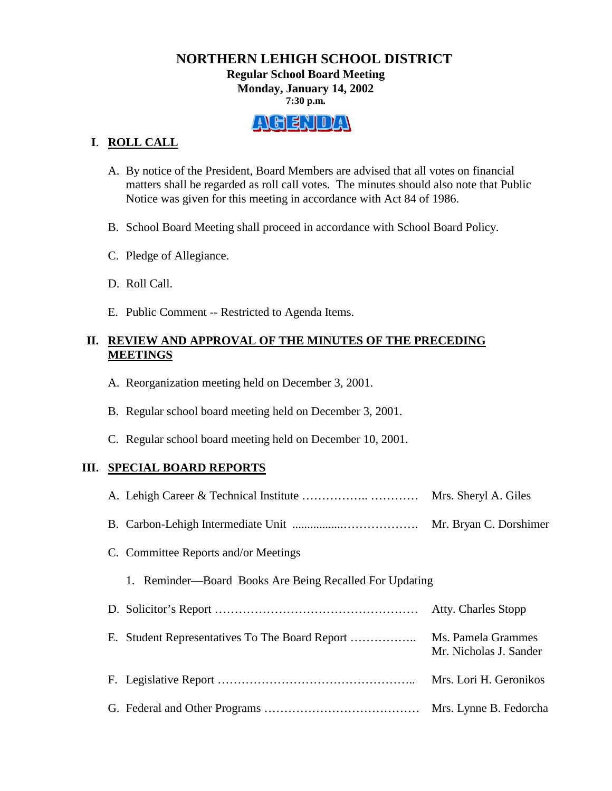### **NORTHERN LEHIGH SCHOOL DISTRICT Regular School Board Meeting Monday, January 14, 2002 7:30 p.m.**



## **I**. **ROLL CALL**

- A. By notice of the President, Board Members are advised that all votes on financial matters shall be regarded as roll call votes. The minutes should also note that Public Notice was given for this meeting in accordance with Act 84 of 1986.
- B. School Board Meeting shall proceed in accordance with School Board Policy.
- C. Pledge of Allegiance.
- D. Roll Call.
- E. Public Comment -- Restricted to Agenda Items.

## **II. REVIEW AND APPROVAL OF THE MINUTES OF THE PRECEDING MEETINGS**

- A. Reorganization meeting held on December 3, 2001.
- B. Regular school board meeting held on December 3, 2001.
- C. Regular school board meeting held on December 10, 2001.

## **III. SPECIAL BOARD REPORTS**

|                                                            | Mrs. Sheryl A. Giles                         |
|------------------------------------------------------------|----------------------------------------------|
|                                                            | Mr. Bryan C. Dorshimer                       |
| C. Committee Reports and/or Meetings                       |                                              |
| Reminder—Board Books Are Being Recalled For Updating<br>1. |                                              |
|                                                            | Atty. Charles Stopp                          |
|                                                            | Ms. Pamela Grammes<br>Mr. Nicholas J. Sander |
|                                                            | Mrs. Lori H. Geronikos                       |
|                                                            | Mrs. Lynne B. Fedorcha                       |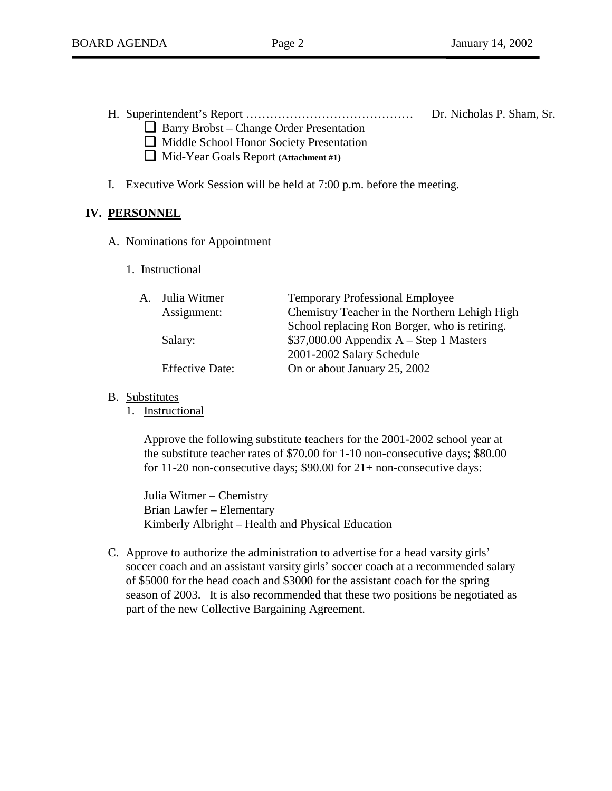H. Superintendent's Report …………………………………… Dr. Nicholas P. Sham, Sr.

- ❏Barry Brobst Change Order Presentation
	- ❏Middle School Honor Society Presentation ❏Mid-Year Goals Report **(Attachment #1)**
- 
- I. Executive Work Session will be held at 7:00 p.m. before the meeting.

# **IV. PERSONNEL**

- A. Nominations for Appointment
	- 1. Instructional

| A. Julia Witmer        | <b>Temporary Professional Employee</b>        |
|------------------------|-----------------------------------------------|
| Assignment:            | Chemistry Teacher in the Northern Lehigh High |
|                        | School replacing Ron Borger, who is retiring. |
| Salary:                | $$37,000.00$ Appendix A – Step 1 Masters      |
|                        | 2001-2002 Salary Schedule                     |
| <b>Effective Date:</b> | On or about January 25, 2002                  |
|                        |                                               |

- B. Substitutes
	- 1. Instructional

Approve the following substitute teachers for the 2001-2002 school year at the substitute teacher rates of \$70.00 for 1-10 non-consecutive days; \$80.00 for 11-20 non-consecutive days; \$90.00 for 21+ non-consecutive days:

 Julia Witmer – Chemistry Brian Lawfer – Elementary Kimberly Albright – Health and Physical Education

C. Approve to authorize the administration to advertise for a head varsity girls' soccer coach and an assistant varsity girls' soccer coach at a recommended salary of \$5000 for the head coach and \$3000 for the assistant coach for the spring season of 2003. It is also recommended that these two positions be negotiated as part of the new Collective Bargaining Agreement.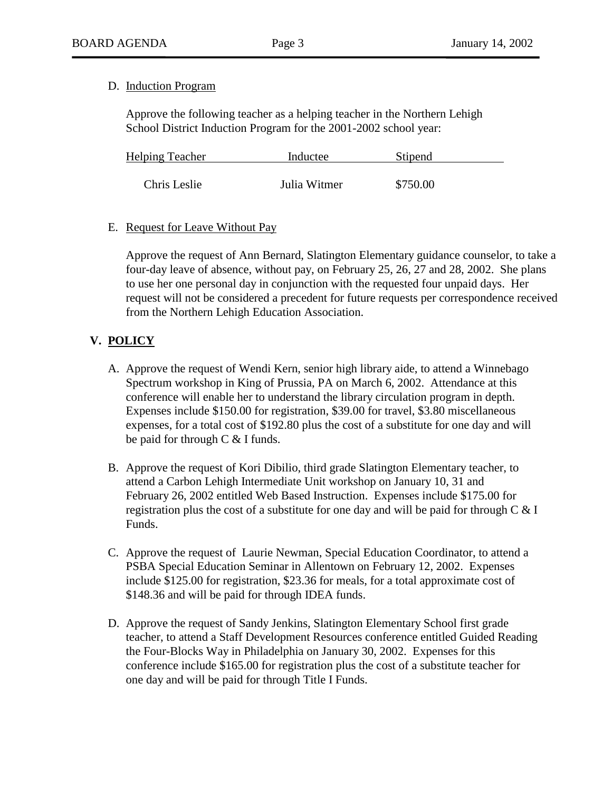#### D. Induction Program

Approve the following teacher as a helping teacher in the Northern Lehigh School District Induction Program for the 2001-2002 school year:

| <b>Helping Teacher</b> | Inductee     | Stipend  |  |
|------------------------|--------------|----------|--|
|                        |              |          |  |
| Chris Leslie           | Julia Witmer | \$750.00 |  |

#### E. Request for Leave Without Pay

Approve the request of Ann Bernard, Slatington Elementary guidance counselor, to take a four-day leave of absence, without pay, on February 25, 26, 27 and 28, 2002. She plans to use her one personal day in conjunction with the requested four unpaid days. Her request will not be considered a precedent for future requests per correspondence received from the Northern Lehigh Education Association.

## **V. POLICY**

- A. Approve the request of Wendi Kern, senior high library aide, to attend a Winnebago Spectrum workshop in King of Prussia, PA on March 6, 2002. Attendance at this conference will enable her to understand the library circulation program in depth. Expenses include \$150.00 for registration, \$39.00 for travel, \$3.80 miscellaneous expenses, for a total cost of \$192.80 plus the cost of a substitute for one day and will be paid for through C & I funds.
- B. Approve the request of Kori Dibilio, third grade Slatington Elementary teacher, to attend a Carbon Lehigh Intermediate Unit workshop on January 10, 31 and February 26, 2002 entitled Web Based Instruction. Expenses include \$175.00 for registration plus the cost of a substitute for one day and will be paid for through  $C \& I$ Funds.
- C. Approve the request of Laurie Newman, Special Education Coordinator, to attend a PSBA Special Education Seminar in Allentown on February 12, 2002. Expenses include \$125.00 for registration, \$23.36 for meals, for a total approximate cost of \$148.36 and will be paid for through IDEA funds.
- D. Approve the request of Sandy Jenkins, Slatington Elementary School first grade teacher, to attend a Staff Development Resources conference entitled Guided Reading the Four-Blocks Way in Philadelphia on January 30, 2002. Expenses for this conference include \$165.00 for registration plus the cost of a substitute teacher for one day and will be paid for through Title I Funds.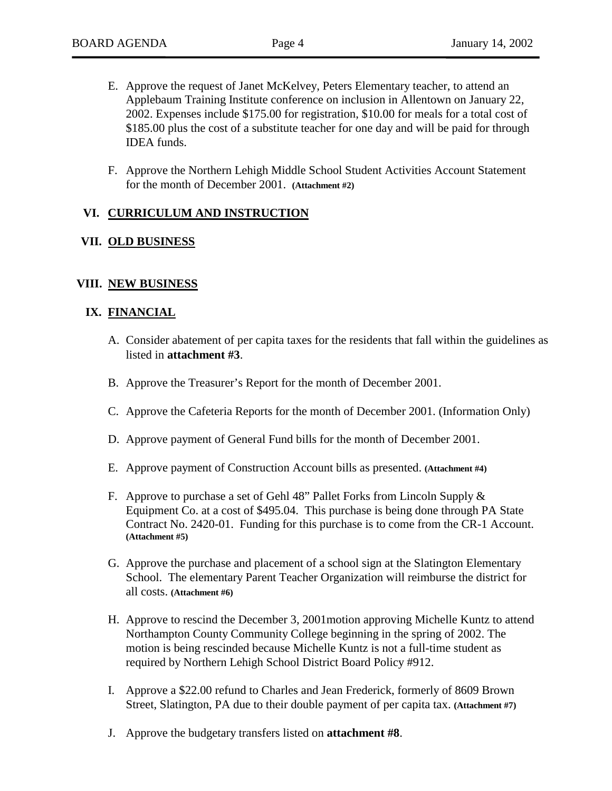- E. Approve the request of Janet McKelvey, Peters Elementary teacher, to attend an Applebaum Training Institute conference on inclusion in Allentown on January 22, 2002. Expenses include \$175.00 for registration, \$10.00 for meals for a total cost of \$185.00 plus the cost of a substitute teacher for one day and will be paid for through IDEA funds.
- F. Approve the Northern Lehigh Middle School Student Activities Account Statement for the month of December 2001. **(Attachment #2)**

#### **VI. CURRICULUM AND INSTRUCTION**

#### **VII. OLD BUSINESS**

#### **VIII. NEW BUSINESS**

#### **IX. FINANCIAL**

- A. Consider abatement of per capita taxes for the residents that fall within the guidelines as listed in **attachment #3**.
- B. Approve the Treasurer's Report for the month of December 2001.
- C. Approve the Cafeteria Reports for the month of December 2001. (Information Only)
- D. Approve payment of General Fund bills for the month of December 2001.
- E. Approve payment of Construction Account bills as presented. **(Attachment #4)**
- F. Approve to purchase a set of Gehl 48" Pallet Forks from Lincoln Supply & Equipment Co. at a cost of \$495.04. This purchase is being done through PA State Contract No. 2420-01. Funding for this purchase is to come from the CR-1 Account. **(Attachment #5)**
- G. Approve the purchase and placement of a school sign at the Slatington Elementary School. The elementary Parent Teacher Organization will reimburse the district for all costs. **(Attachment #6)**
- H. Approve to rescind the December 3, 2001motion approving Michelle Kuntz to attend Northampton County Community College beginning in the spring of 2002. The motion is being rescinded because Michelle Kuntz is not a full-time student as required by Northern Lehigh School District Board Policy #912.
- I. Approve a \$22.00 refund to Charles and Jean Frederick, formerly of 8609 Brown Street, Slatington, PA due to their double payment of per capita tax. **(Attachment #7)**
- J. Approve the budgetary transfers listed on **attachment #8**.